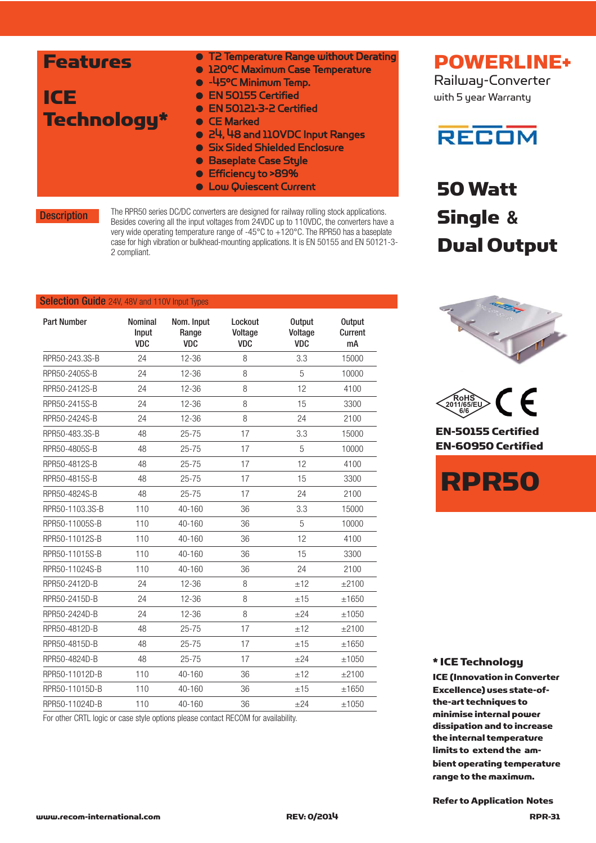| <b>Features</b><br>ICE<br><b>Technology*</b> | • T2 Temperature Range without Derating<br><b>. 120°C Maximum Case Temperature</b><br>• -45°C Minimum Temp.<br>• EN 50155 Certified<br>• EN 50121-3-2 Certified<br>• CE Marked<br>• 24, 48 and 110VDC Input Ranges<br>• Six Sided Shielded Enclosure<br><b>• Baseplate Case Style</b><br>● Efficiency to >89% |
|----------------------------------------------|---------------------------------------------------------------------------------------------------------------------------------------------------------------------------------------------------------------------------------------------------------------------------------------------------------------|
|                                              | <b>.</b> Low Quiescent Current                                                                                                                                                                                                                                                                                |

**Description** 

The RPR50 series DC/DC converters are designed for railway rolling stock applications. Besides covering all the input voltages from 24VDC up to 110VDC, the converters have a very wide operating temperature range of -45°C to +120°C. The RPR50 has a baseplate case for high vibration or bulkhead-mounting applications. It is EN 50155 and EN 50121-3- 2 compliant.

#### Selection Guide 24V, 48V and 110V Input Types

| <b>Part Number</b> | <b>Nominal</b><br>Input<br><b>VDC</b> | Nom. Input<br>Range<br><b>VDC</b> | Lockout<br>Voltage<br><b>VDC</b> | <b>Output</b><br>Voltage<br><b>VDC</b> | <b>Output</b><br>Current<br>mA |
|--------------------|---------------------------------------|-----------------------------------|----------------------------------|----------------------------------------|--------------------------------|
| RPR50-243.3S-B     | 24                                    | $12 - 36$                         | 8                                | 3.3                                    | 15000                          |
| RPR50-2405S-B      | 24                                    | $12 - 36$                         | 8                                | 5                                      | 10000                          |
| RPR50-2412S-B      | 24                                    | $12 - 36$                         | 8                                | 12                                     | 4100                           |
| RPR50-2415S-B      | 24                                    | $12 - 36$                         | 8                                | 15                                     | 3300                           |
| RPR50-2424S-B      | 24                                    | $12 - 36$                         | 8                                | 24                                     | 2100                           |
| RPR50-483.3S-B     | 48                                    | $25 - 75$                         | 17                               | 3.3                                    | 15000                          |
| RPR50-4805S-B      | 48                                    | $25 - 75$                         | 17                               | 5                                      | 10000                          |
| RPR50-4812S-B      | 48                                    | $25 - 75$                         | 17                               | 12                                     | 4100                           |
| RPR50-4815S-B      | 48                                    | $25 - 75$                         | 17                               | 15                                     | 3300                           |
| RPR50-4824S-B      | 48                                    | $25 - 75$                         | 17                               | 24                                     | 2100                           |
| RPR50-1103.3S-B    | 110                                   | 40-160                            | 36                               | 3.3                                    | 15000                          |
| RPR50-11005S-B     | 110                                   | 40-160                            | 36                               | 5                                      | 10000                          |
| RPR50-11012S-B     | 110                                   | $40 - 160$                        | 36                               | 12                                     | 4100                           |
| RPR50-11015S-B     | 110                                   | 40-160                            | 36                               | 15                                     | 3300                           |
| RPR50-11024S-B     | 110                                   | 40-160                            | 36                               | 24                                     | 2100                           |
| RPR50-2412D-B      | 24                                    | $12 - 36$                         | 8                                | ±12                                    | $+2100$                        |
| RPR50-2415D-B      | 24                                    | $12 - 36$                         | 8                                | ±15                                    | ±1650                          |
| RPR50-2424D-B      | 24                                    | $12 - 36$                         | 8                                | $+24$                                  | ±1050                          |
| RPR50-4812D-B      | 48                                    | $25 - 75$                         | 17                               | ±12                                    | ±2100                          |
| RPR50-4815D-B      | 48                                    | $25 - 75$                         | 17                               | ±15                                    | ±1650                          |
| RPR50-4824D-B      | 48                                    | $25 - 75$                         | 17                               | $+24$                                  | ±1050                          |
| RPR50-11012D-B     | 110                                   | 40-160                            | 36                               | ±12                                    | $+2100$                        |
| RPR50-11015D-B     | 110                                   | $40 - 160$                        | 36                               | ±15                                    | ±1650                          |
| RPR50-11024D-B     | 110                                   | $40 - 160$                        | 36                               | $+24$                                  | ±1050                          |

For other CRTL logic or case style options please contact RECOM for availability.

POWERLINE+ Railway-Converter

with 5 year Warranty

### **RECOM**

50 Watt Single **&** Dual Output





EN-50155 Certified EN-60950 Certified



\* ICE Technology

ICE (Innovation in Converter Excellence) uses state-ofthe-art techniques to minimise internal power dissipation and to increase the internal temperature limits to extend the ambient operating temperature range to the maximum.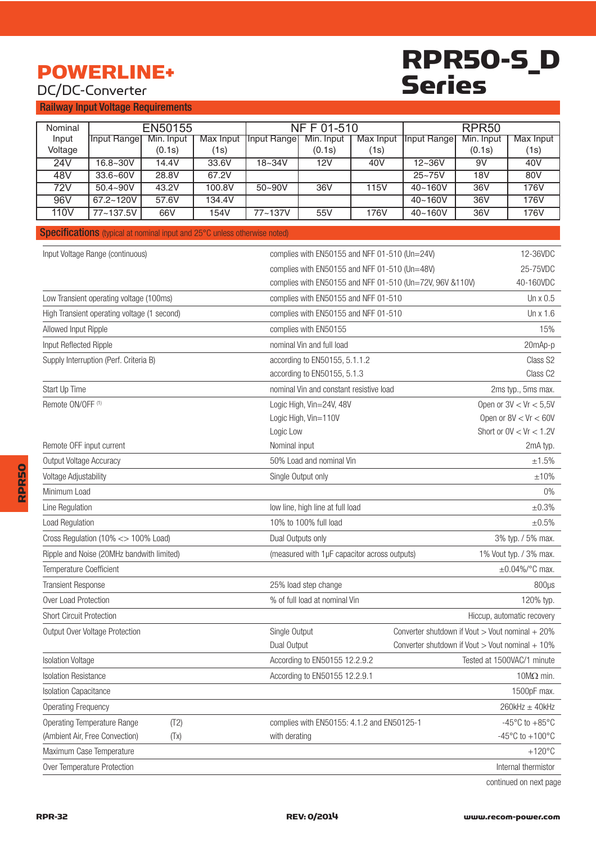### POWERLINE+

### DC/DC-Converter

### RPR50-S\_D Series

Railway Input Voltage Requirements

|                              | <b>NFF01-510</b>                                                          |                              |                  |                                                             |                                                           |                         |                                                          |        |                                      |
|------------------------------|---------------------------------------------------------------------------|------------------------------|------------------|-------------------------------------------------------------|-----------------------------------------------------------|-------------------------|----------------------------------------------------------|--------|--------------------------------------|
| Nominal<br>Input             | <b>Input Range</b>                                                        | <b>EN50155</b><br>Min. Input | <b>Max Input</b> | <b>Input Range</b>                                          | Min. Input                                                | <b>Max Input</b>        | RPR <sub>50</sub><br><b>Input Range</b><br>Min. Input    |        |                                      |
| Voltage                      |                                                                           | (0.1s)                       | (1s)             |                                                             | (0.1s)                                                    | (1s)                    |                                                          | (0.1s) | <b>Max Input</b><br>(1s)             |
| 24V                          | $16.8 - 30V$                                                              | 14.4V                        | 33.6V            | $18 - 34V$                                                  | 12V                                                       | 40V                     | $12 - 36V$                                               | 9V     | 40V                                  |
| 48V                          | $33.6 - 60V$                                                              | 28.8V                        | 67.2V            |                                                             |                                                           |                         | $25 - 75V$                                               | 18V    | 80V                                  |
| 72V                          | $50.4 - 90V$                                                              | 43.2V                        | 100.8V           | $50 - 90V$                                                  | 36V                                                       | 115V                    | $40 - 160V$                                              | 36V    | <b>176V</b>                          |
| 96V                          | $67.2 - 120V$                                                             | 57.6V                        | 134.4V           |                                                             |                                                           |                         | $40 - 160V$                                              | 36V    | 176V                                 |
| 110 <sub>V</sub>             | 77~137.5V                                                                 | 66V                          | 154V             | 77~137V                                                     | 55V                                                       | 176V                    | 40~160V                                                  | 36V    | 176V                                 |
|                              | Specifications (typical at nominal input and 25°C unless otherwise noted) |                              |                  |                                                             |                                                           |                         |                                                          |        |                                      |
|                              | Input Voltage Range (continuous)                                          |                              |                  |                                                             | 12-36VDC<br>complies with EN50155 and NFF 01-510 (Un=24V) |                         |                                                          |        |                                      |
|                              |                                                                           |                              |                  |                                                             | complies with EN50155 and NFF 01-510 (Un=48V)             |                         |                                                          |        | 25-75VDC                             |
|                              |                                                                           |                              |                  |                                                             |                                                           |                         | complies with EN50155 and NFF 01-510 (Un=72V, 96V &110V) |        | 40-160VDC                            |
|                              | Low Transient operating voltage (100ms)                                   |                              |                  |                                                             | complies with EN50155 and NFF 01-510                      |                         |                                                          |        | Un x 0.5                             |
|                              | High Transient operating voltage (1 second)                               |                              |                  |                                                             | complies with EN50155 and NFF 01-510                      |                         |                                                          |        | Un x 1.6                             |
| Allowed Input Ripple         |                                                                           |                              |                  |                                                             | complies with EN50155                                     |                         |                                                          |        | 15%                                  |
| Input Reflected Ripple       |                                                                           |                              |                  |                                                             | nominal Vin and full load                                 |                         |                                                          |        | 20mAp-p                              |
|                              | Supply Interruption (Perf. Criteria B)                                    |                              |                  |                                                             | according to EN50155, 5.1.1.2                             |                         |                                                          |        | Class S2                             |
|                              |                                                                           |                              |                  |                                                             | according to EN50155, 5.1.3                               |                         |                                                          |        | Class C <sub>2</sub>                 |
| Start Up Time                |                                                                           |                              |                  |                                                             | nominal Vin and constant resistive load                   |                         |                                                          |        | 2ms typ., 5ms max.                   |
| Remote ON/OFF <sup>(1)</sup> |                                                                           |                              |                  |                                                             | Logic High, Vin=24V, 48V                                  |                         |                                                          |        | Open or $3V < Vr < 5.5V$             |
|                              | Logic High, Vin=110V                                                      |                              |                  |                                                             |                                                           | Open or $8V < Vr < 60V$ |                                                          |        |                                      |
|                              |                                                                           |                              |                  | Logic Low                                                   |                                                           |                         |                                                          |        | Short or $0V < Vr < 1.2V$            |
| Remote OFF input current     |                                                                           |                              |                  | Nominal input                                               |                                                           |                         |                                                          |        | 2mA typ.                             |
| Output Voltage Accuracy      |                                                                           |                              |                  |                                                             | 50% Load and nominal Vin                                  |                         |                                                          |        | ±1.5%                                |
| Voltage Adjustability        |                                                                           |                              |                  |                                                             | Single Output only                                        |                         |                                                          |        | ±10%                                 |
| Minimum Load                 |                                                                           |                              |                  |                                                             |                                                           |                         |                                                          |        | $0\%$                                |
| Line Regulation              |                                                                           |                              |                  |                                                             | low line, high line at full load                          |                         |                                                          |        | $\pm 0.3\%$                          |
| Load Regulation              |                                                                           |                              |                  |                                                             | 10% to 100% full load                                     |                         |                                                          |        | $\pm 0.5\%$                          |
|                              | Cross Regulation (10% <> 100% Load)                                       |                              |                  |                                                             | Dual Outputs only                                         |                         |                                                          |        | 3% typ. / 5% max.                    |
|                              | Ripple and Noise (20MHz bandwith limited)                                 |                              |                  |                                                             | (measured with 1µF capacitor across outputs)              |                         |                                                          |        | 1% Vout typ. / 3% max.               |
| Temperature Coefficient      |                                                                           |                              |                  |                                                             |                                                           |                         |                                                          |        | $\pm 0.04\%$ /°C max.                |
| <b>Transient Response</b>    |                                                                           |                              |                  |                                                             | 25% load step change                                      |                         |                                                          |        | 800µs                                |
| Over Load Protection         |                                                                           |                              |                  |                                                             | % of full load at nominal Vin                             |                         |                                                          |        | 120% typ.                            |
| Short Circuit Protection     |                                                                           |                              |                  |                                                             |                                                           |                         |                                                          |        | Hiccup, automatic recovery           |
|                              | Output Over Voltage Protection                                            |                              |                  | Single Output                                               |                                                           |                         | Converter shutdown if Vout > Vout nominal + 20%          |        |                                      |
|                              |                                                                           |                              | Dual Output      |                                                             |                                                           |                         | Converter shutdown if Vout > Vout nominal $+10\%$        |        |                                      |
|                              | <b>Isolation Voltage</b>                                                  |                              |                  | According to EN50155 12.2.9.2<br>Tested at 1500VAC/1 minute |                                                           |                         |                                                          |        |                                      |
|                              | <b>Isolation Resistance</b><br>According to EN50155 12.2.9.1              |                              |                  |                                                             |                                                           | 10 $M\Omega$ min.       |                                                          |        |                                      |
|                              | <b>Isolation Capacitance</b>                                              |                              |                  |                                                             |                                                           |                         | 1500pF max.                                              |        |                                      |
| <b>Operating Frequency</b>   |                                                                           |                              |                  |                                                             |                                                           |                         |                                                          |        | $260$ kHz $\pm$ 40kHz                |
|                              | <b>Operating Temperature Range</b>                                        | (T2)                         |                  |                                                             | complies with EN50155: 4.1.2 and EN50125-1                |                         |                                                          |        | -45 $^{\circ}$ C to +85 $^{\circ}$ C |
|                              | (Ambient Air, Free Convection)                                            | (Tx)                         |                  | with derating                                               |                                                           |                         |                                                          |        | -45°C to $+100$ °C                   |
|                              | Maximum Case Temperature                                                  |                              |                  |                                                             |                                                           |                         |                                                          |        | $+120^{\circ}$ C                     |
|                              | Over Temperature Protection                                               |                              |                  |                                                             |                                                           |                         |                                                          |        | Internal thermistor                  |

continued on next page

RPR50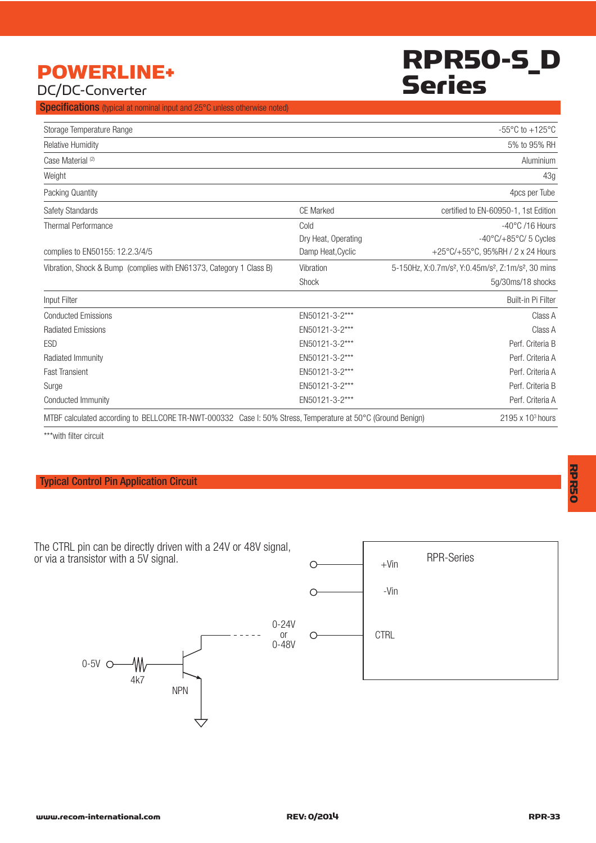### RPR50-S\_D Series

### POWERLINE+ DC/DC-Converter

**Specifications** (typical at nominal input and 25°C unless otherwise noted)

| Storage Temperature Range                                                                                   |                     | -55 $\mathrm{^{\circ}C}$ to +125 $\mathrm{^{\circ}C}$                                   |
|-------------------------------------------------------------------------------------------------------------|---------------------|-----------------------------------------------------------------------------------------|
| <b>Relative Humidity</b>                                                                                    |                     | 5% to 95% RH                                                                            |
| Case Material <sup>(2)</sup>                                                                                |                     | Aluminium                                                                               |
| Weight                                                                                                      |                     | 43g                                                                                     |
| Packing Quantity                                                                                            |                     | 4pcs per Tube                                                                           |
| Safety Standards                                                                                            | CE Marked           | certified to EN-60950-1, 1st Edition                                                    |
| <b>Thermal Performance</b>                                                                                  | Cold                | $-40^{\circ}$ C /16 Hours                                                               |
|                                                                                                             | Dry Heat, Operating | $-40^{\circ}$ C/ $+85^{\circ}$ C/ 5 Cycles                                              |
| complies to EN50155: 12.2.3/4/5                                                                             | Damp Heat, Cyclic   | +25°C/+55°C, 95%RH / 2 x 24 Hours                                                       |
| Vibration, Shock & Bump (complies with EN61373, Category 1 Class B)                                         | Vibration           | 5-150Hz, X:0.7m/s <sup>2</sup> , Y:0.45m/s <sup>2</sup> , Z:1m/s <sup>2</sup> , 30 mins |
|                                                                                                             | Shock               | 5g/30ms/18 shocks                                                                       |
| Input Filter                                                                                                |                     | Built-in Pi Filter                                                                      |
| <b>Conducted Emissions</b>                                                                                  | EN50121-3-2***      | Class A                                                                                 |
| <b>Radiated Emissions</b>                                                                                   | EN50121-3-2***      | Class A                                                                                 |
| <b>ESD</b>                                                                                                  | EN50121-3-2***      | Perf. Criteria B                                                                        |
| Radiated Immunity                                                                                           | EN50121-3-2***      | Perf. Criteria A                                                                        |
| <b>Fast Transient</b>                                                                                       | EN50121-3-2***      | Perf. Criteria A                                                                        |
| Surge                                                                                                       | EN50121-3-2***      | Perf. Criteria B                                                                        |
| Conducted Immunity                                                                                          | EN50121-3-2***      | Perf. Criteria A                                                                        |
| MTBF calculated according to BELLCORE TR-NWT-000332 Case I: 50% Stress, Temperature at 50°C (Ground Benign) |                     | $2195 \times 10^3$ hours                                                                |

\*\*\*with filter circuit

#### Typical Control Pin Application Circuit

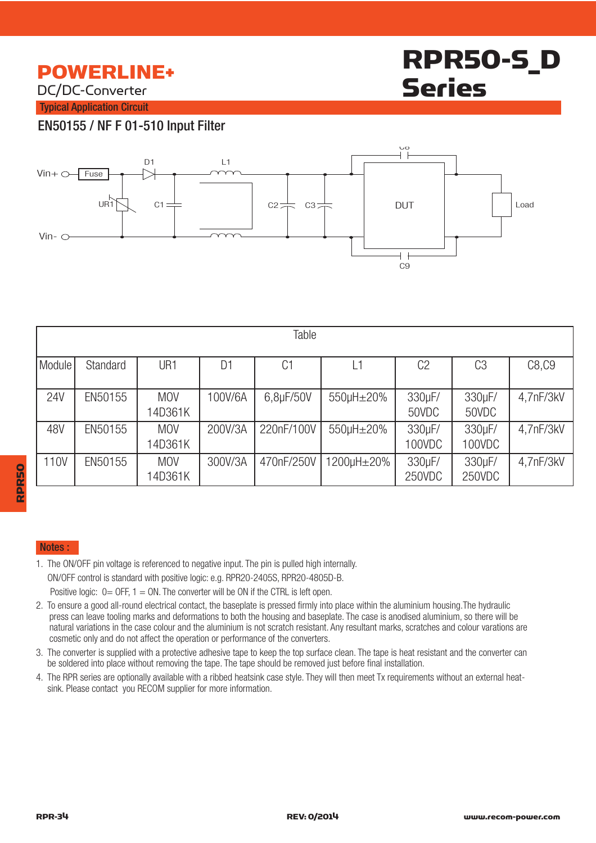### POWERLINE+

DC/DC-Converter

## RPR50-S\_D Series

Typical Application Circuit

#### EN50155 / NF F 01-510 Input Filter



| Table      |          |                       |         |                |            |                  |                  |           |
|------------|----------|-----------------------|---------|----------------|------------|------------------|------------------|-----------|
| Module     | Standard | UR1                   | D1      | C <sub>1</sub> | L1         | C <sub>2</sub>   | C <sub>3</sub>   | C8, C9    |
| <b>24V</b> | EN50155  | <b>MOV</b><br>14D361K | 100V/6A | 6,8µF/50V      | 550µH±20%  | 330µF/<br>50VDC  | 330µF/<br>50VDC  | 4,7nF/3kV |
| 48V        | EN50155  | <b>MOV</b><br>14D361K | 200V/3A | 220nF/100V     | 550µH±20%  | 330µF/<br>100VDC | 330µF/<br>100VDC | 4,7nF/3kV |
| 110V       | EN50155  | <b>MOV</b><br>14D361K | 300V/3A | 470nF/250V     | 1200µH±20% | 330µF/<br>250VDC | 330µF/<br>250VDC | 4,7nF/3kV |

# RPR50

#### Notes :

- 1. The ON/OFF pin voltage is referenced to negative input. The pin is pulled high internally. ON/OFF control is standard with positive logic: e.g. RPR20-2405S, RPR20-4805D-B. Positive logic:  $0=$  OFF,  $1=$  ON. The converter will be ON if the CTRL is left open.
- 2. To ensure a good all-round electrical contact, the baseplate is pressed firmly into place within the aluminium housing.The hydraulic press can leave tooling marks and deformations to both the housing and baseplate. The case is anodised aluminium, so there will be natural variations in the case colour and the aluminium is not scratch resistant. Any resultant marks, scratches and colour varations are cosmetic only and do not affect the operation or performance of the converters.
- 3. The converter is supplied with a protective adhesive tape to keep the top surface clean. The tape is heat resistant and the converter can be soldered into place without removing the tape. The tape should be removed just before final installation.
- 4. The RPR series are optionally available with a ribbed heatsink case style. They will then meet Tx requirements without an external heat sink. Please contact you RECOM supplier for more information.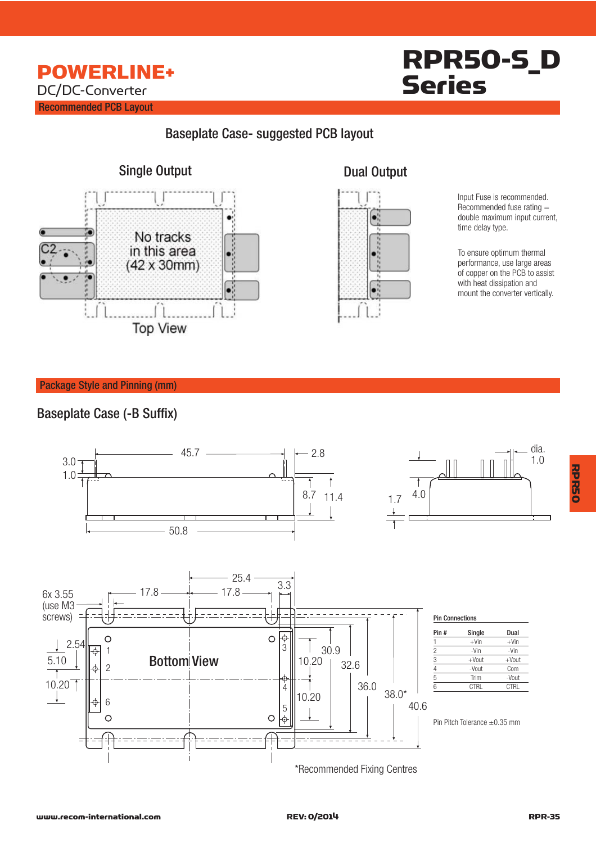### RPR50-S\_D Series

#### Baseplate Case- suggested PCB layout





Input Fuse is recommended. Recommended fuse rating = double maximum input current, time delay type.

To ensure optimum thermal performance, use large areas of copper on the PCB to assist with heat dissipation and mount the converter vertically.

Package Style and Pinning (mm)

#### Baseplate Case (-B Suffix)